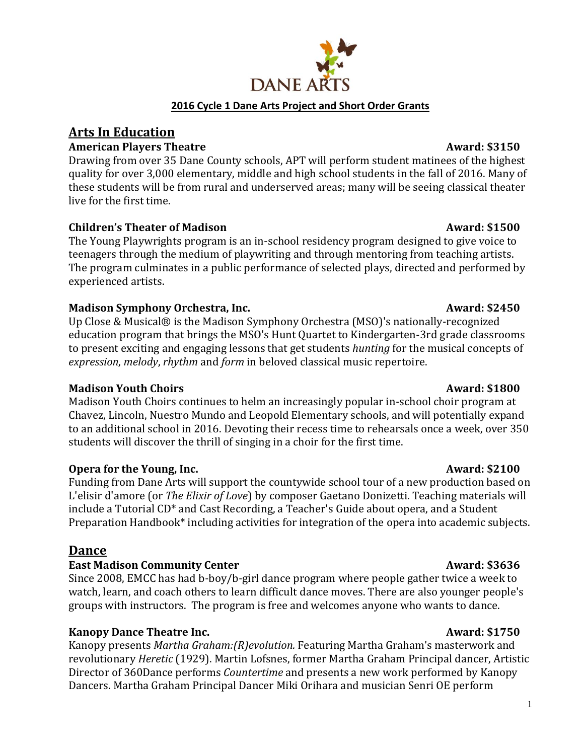# **2016 Cycle 1 Dane Arts Project and Short Order Grants**

# **Arts In Education**

### American Players Theatre **Award:** \$3150

Drawing from over 35 Dane County schools, APT will perform student matinees of the highest quality for over 3,000 elementary, middle and high school students in the fall of 2016. Many of these students will be from rural and underserved areas; many will be seeing classical theater live for the first time.

## **Children's Theater of Madison Award: \$1500**

The Young Playwrights program is an in-school residency program designed to give voice to teenagers through the medium of playwriting and through mentoring from teaching artists. The program culminates in a public performance of selected plays, directed and performed by experienced artists.

### **Madison Symphony Orchestra, Inc.** Award: \$2450

Up Close & Musical® is the Madison Symphony Orchestra (MSO)'s nationally-recognized education program that brings the MSO's Hunt Quartet to Kindergarten-3rd grade classrooms to present exciting and engaging lessons that get students *hunting* for the musical concepts of *expression*, *melody*, *rhythm* and *form* in beloved classical music repertoire.

# **Madison Youth Choirs Award: \$1800**

Madison Youth Choirs continues to helm an increasingly popular in-school choir program at Chavez, Lincoln, Nuestro Mundo and Leopold Elementary schools, and will potentially expand to an additional school in 2016. Devoting their recess time to rehearsals once a week, over 350 students will discover the thrill of singing in a choir for the first time.

### **Opera for the Young, Inc.** Award: \$2100

Funding from Dane Arts will support the countywide school tour of a new production based on L'elisir d'amore (or *The Elixir of Love*) by composer Gaetano Donizetti. Teaching materials will include a Tutorial CD\* and Cast Recording, a Teacher's Guide about opera, and a Student Preparation Handbook\* including activities for integration of the opera into academic subjects.

# **Dance**

### **East Madison Community Center Award: \$3636**

Since 2008, EMCC has had b-boy/b-girl dance program where people gather twice a week to watch, learn, and coach others to learn difficult dance moves. There are also younger people's groups with instructors. The program is free and welcomes anyone who wants to dance.

# **Kanopy Dance Theatre Inc.** Award: \$1750

Kanopy presents *Martha Graham:(R)evolution.* Featuring Martha Graham's masterwork and revolutionary *Heretic* (1929). Martin Lofsnes, former Martha Graham Principal dancer, Artistic Director of 360Dance performs *Countertime* and presents a new work performed by Kanopy Dancers. Martha Graham Principal Dancer Miki Orihara and musician Senri OE perform



1

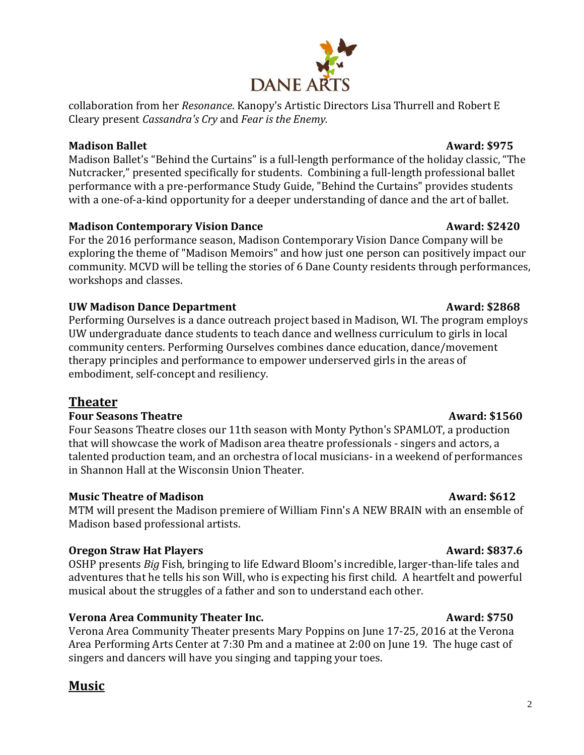# **Madison Contemporary Vision Dance Award: \$2420**

For the 2016 performance season, Madison Contemporary Vision Dance Company will be exploring the theme of "Madison Memoirs" and how just one person can positively impact our community. MCVD will be telling the stories of 6 Dane County residents through performances, workshops and classes.

## **UW Madison Dance Department**  Award: \$2868

Performing Ourselves is a dance outreach project based in Madison, WI. The program employs UW undergraduate dance students to teach dance and wellness curriculum to girls in local community centers. Performing Ourselves combines dance education, dance/movement therapy principles and performance to empower underserved girls in the areas of embodiment, self-concept and resiliency.

# **Theater**

### **Four Seasons Theatre Award: \$1560**

Four Seasons Theatre closes our 11th season with Monty Python's SPAMLOT, a production that will showcase the work of Madison area theatre professionals - singers and actors, a talented production team, and an orchestra of local musicians- in a weekend of performances in Shannon Hall at the Wisconsin Union Theater.

# **Music Theatre of Madison Award: \$612**

MTM will present the Madison premiere of William Finn's A NEW BRAIN with an ensemble of Madison based professional artists.

# **Oregon Straw Hat Players** Award: \$837.6

OSHP presents *Big* Fish*,* bringing to life Edward Bloom's incredible, larger-than-life tales and adventures that he tells his son Will, who is expecting his first child. A heartfelt and powerful musical about the struggles of a father and son to understand each other.

# **Verona Area Community Theater Inc.** The Community of the Award: \$750

Verona Area Community Theater presents Mary Poppins on June 17-25, 2016 at the Verona Area Performing Arts Center at 7:30 Pm and a matinee at 2:00 on June 19. The huge cast of singers and dancers will have you singing and tapping your toes.

# **Music**

# **DANE ARTS**

collaboration from her *Resonance*. Kanopy's Artistic Directors Lisa Thurrell and Robert E Cleary present *Cassandra's Cry* and *Fear is the Enemy.*

### **Madison Ballet Award: \$975**

Madison Ballet's "Behind the Curtains" is a full-length performance of the holiday classic, "The Nutcracker," presented specifically for students. Combining a full-length professional ballet performance with a pre-performance Study Guide, "Behind the Curtains" provides students with a one-of-a-kind opportunity for a deeper understanding of dance and the art of ballet.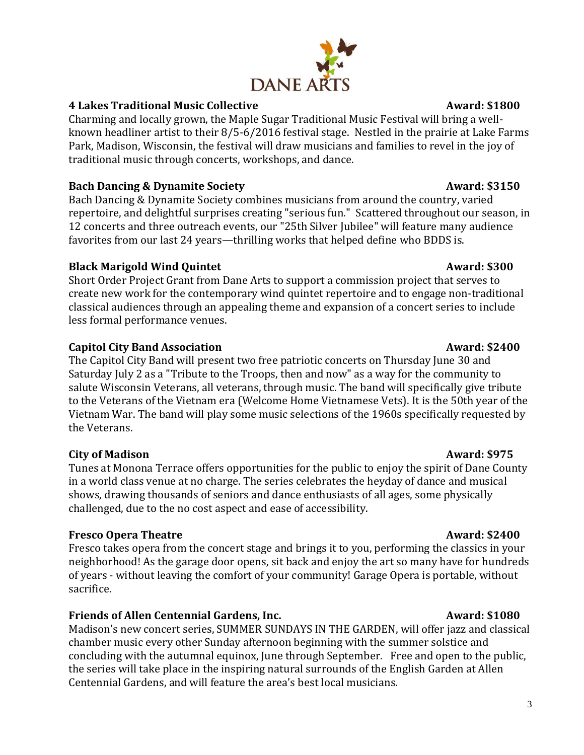# **4 Lakes Traditional Music Collective Award: \$1800**

Charming and locally grown, the Maple Sugar Traditional Music Festival will bring a wellknown headliner artist to their 8/5-6/2016 festival stage. Nestled in the prairie at Lake Farms Park, Madison, Wisconsin, the festival will draw musicians and families to revel in the joy of traditional music through concerts, workshops, and dance.

### **Bach Dancing & Dynamite Society Award: \$3150**

Bach Dancing & Dynamite Society combines musicians from around the country, varied repertoire, and delightful surprises creating "serious fun." Scattered throughout our season, in 12 concerts and three outreach events, our "25th Silver Jubilee" will feature many audience favorites from our last 24 years—thrilling works that helped define who BDDS is.

### **Black Marigold Wind Quintet**  Award: \$300

Short Order Project Grant from Dane Arts to support a commission project that serves to create new work for the contemporary wind quintet repertoire and to engage non-traditional classical audiences through an appealing theme and expansion of a concert series to include less formal performance venues.

## **Capitol City Band Association** Award: \$2400

The Capitol City Band will present two free patriotic concerts on Thursday June 30 and Saturday July 2 as a "Tribute to the Troops, then and now" as a way for the community to salute Wisconsin Veterans, all veterans, through music. The band will specifically give tribute to the Veterans of the Vietnam era (Welcome Home Vietnamese Vets). It is the 50th year of the Vietnam War. The band will play some music selections of the 1960s specifically requested by the Veterans.

### **City of Madison Award: \$975**

Tunes at Monona Terrace offers opportunities for the public to enjoy the spirit of Dane County in a world class venue at no charge. The series celebrates the heyday of dance and musical shows, drawing thousands of seniors and dance enthusiasts of all ages, some physically challenged, due to the no cost aspect and ease of accessibility.

### **Fresco Opera Theatre Award: \$2400**

Fresco takes opera from the concert stage and brings it to you, performing the classics in your neighborhood! As the garage door opens, sit back and enjoy the art so many have for hundreds of years - without leaving the comfort of your community! Garage Opera is portable, without sacrifice.

# **Friends of Allen Centennial Gardens, Inc.** Award: \$1080

Madison's new concert series, SUMMER SUNDAYS IN THE GARDEN, will offer jazz and classical chamber music every other Sunday afternoon beginning with the summer solstice and concluding with the autumnal equinox, June through September. Free and open to the public, the series will take place in the inspiring natural surrounds of the English Garden at Allen Centennial Gardens, and will feature the area's best local musicians.

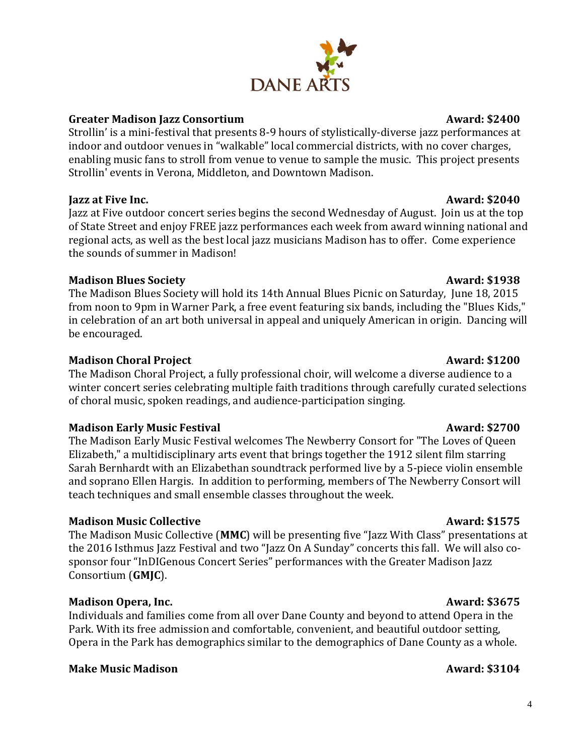# **Greater Madison Jazz Consortium Award: \$2400**

Strollin' is a mini-festival that presents 8-9 hours of stylistically-diverse jazz performances at indoor and outdoor venues in "walkable" local commercial districts, with no cover charges, enabling music fans to stroll from venue to venue to sample the music. This project presents Strollin' events in Verona, Middleton, and Downtown Madison.

# **Jazz at Five Inc.** Award: \$2040

Jazz at Five outdoor concert series begins the second Wednesday of August. Join us at the top of State Street and enjoy FREE jazz performances each week from award winning national and regional acts, as well as the best local jazz musicians Madison has to offer. Come experience the sounds of summer in Madison!

# **Madison Blues Society Award: \$1938**

The Madison Blues Society will hold its 14th Annual Blues Picnic on Saturday, June 18, 2015 from noon to 9pm in Warner Park, a free event featuring six bands, including the "Blues Kids," in celebration of an art both universal in appeal and uniquely American in origin. Dancing will be encouraged.

# **Madison Choral Project Award: \$1200**

The Madison Choral Project, a fully professional choir, will welcome a diverse audience to a winter concert series celebrating multiple faith traditions through carefully curated selections of choral music, spoken readings, and audience-participation singing.

# **Madison Early Music Festival Award: \$2700**

The Madison Early Music Festival welcomes The Newberry Consort for "The Loves of Queen Elizabeth," a multidisciplinary arts event that brings together the 1912 silent film starring Sarah Bernhardt with an Elizabethan soundtrack performed live by a 5-piece violin ensemble and soprano Ellen Hargis. In addition to performing, members of The Newberry Consort will teach techniques and small ensemble classes throughout the week.

# **Madison Music Collective Award: \$1575**

The Madison Music Collective (**MMC**) will be presenting five "Jazz With Class" presentations at the 2016 Isthmus Jazz Festival and two "Jazz On A Sunday" concerts this fall. We will also cosponsor four "InDIGenous Concert Series" performances with the Greater Madison Jazz Consortium (**GMJC**).

# **Madison Opera, Inc. Award: \$3675**

Individuals and families come from all over Dane County and beyond to attend Opera in the Park. With its free admission and comfortable, convenient, and beautiful outdoor setting, Opera in the Park has demographics similar to the demographics of Dane County as a whole.

# **Make Music Madison Award: \$3104**

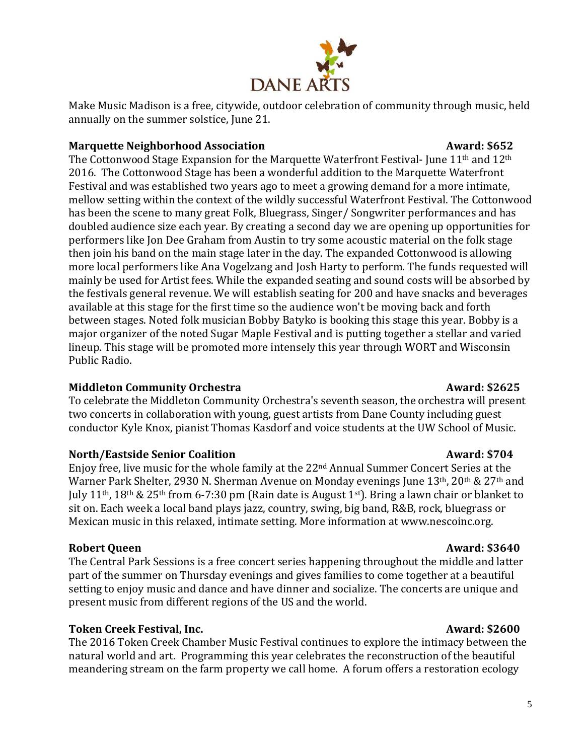

Make Music Madison is a free, citywide, outdoor celebration of community through music, held annually on the summer solstice, June 21.

## **Marquette Neighborhood Association Lines and Award: \$652**

The Cottonwood Stage Expansion for the Marquette Waterfront Festival-June 11<sup>th</sup> and 12<sup>th</sup> 2016. The Cottonwood Stage has been a wonderful addition to the Marquette Waterfront Festival and was established two years ago to meet a growing demand for a more intimate, mellow setting within the context of the wildly successful Waterfront Festival. The Cottonwood has been the scene to many great Folk, Bluegrass, Singer/ Songwriter performances and has doubled audience size each year. By creating a second day we are opening up opportunities for performers like Jon Dee Graham from Austin to try some acoustic material on the folk stage then join his band on the main stage later in the day. The expanded Cottonwood is allowing more local performers like Ana Vogelzang and Josh Harty to perform. The funds requested will mainly be used for Artist fees. While the expanded seating and sound costs will be absorbed by the festivals general revenue. We will establish seating for 200 and have snacks and beverages available at this stage for the first time so the audience won't be moving back and forth between stages. Noted folk musician Bobby Batyko is booking this stage this year. Bobby is a major organizer of the noted Sugar Maple Festival and is putting together a stellar and varied lineup. This stage will be promoted more intensely this year through WORT and Wisconsin Public Radio.

# Middleton Community Orchestra **Award: \$2625**

To celebrate the Middleton Community Orchestra's seventh season, the orchestra will present two concerts in collaboration with young, guest artists from Dane County including guest conductor Kyle Knox, pianist Thomas Kasdorf and voice students at the UW School of Music.

### **North/Eastside Senior Coalition Award: \$704**

Enjoy free, live music for the whole family at the 22nd Annual Summer Concert Series at the Warner Park Shelter, 2930 N. Sherman Avenue on Monday evenings June 13<sup>th</sup>, 20<sup>th</sup> & 27<sup>th</sup> and July 11<sup>th</sup>, 18<sup>th</sup> & 25<sup>th</sup> from 6-7:30 pm (Rain date is August 1<sup>st</sup>). Bring a lawn chair or blanket to sit on. Each week a local band plays jazz, country, swing, big band, R&B, rock, bluegrass or Mexican music in this relaxed, intimate setting. More information at www.nescoinc.org.

# **Robert Queen Award: \$3640**

The Central Park Sessions is a free concert series happening throughout the middle and latter part of the summer on Thursday evenings and gives families to come together at a beautiful setting to enjoy music and dance and have dinner and socialize. The concerts are unique and present music from different regions of the US and the world.

# **Token Creek Festival, Inc. Award: \$2600**

The 2016 Token Creek Chamber Music Festival continues to explore the intimacy between the natural world and art. Programming this year celebrates the reconstruction of the beautiful meandering stream on the farm property we call home. A forum offers a restoration ecology

5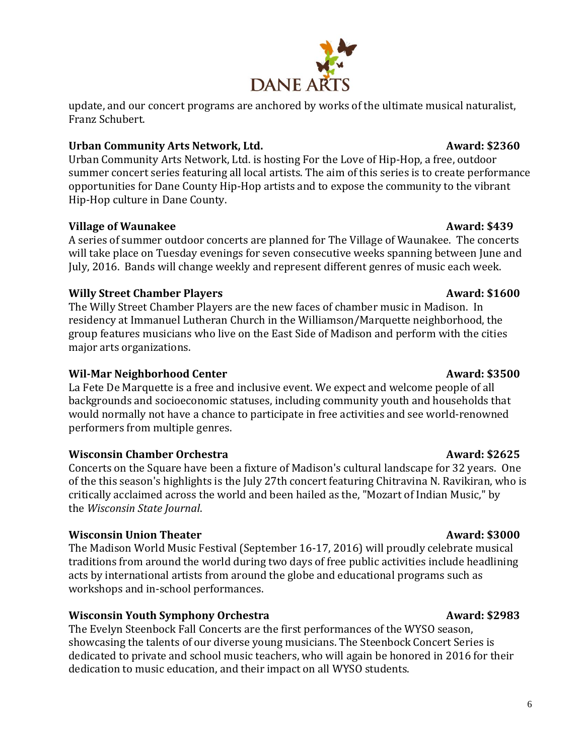# **Wisconsin Chamber Orchestra Award: \$2625**

Concerts on the Square have been a fixture of Madison's cultural landscape for 32 years. One of the this season's highlights is the July 27th concert featuring Chitravina N. Ravikiran, who is critically acclaimed across the world and been hailed as the, "Mozart of Indian Music," by the *Wisconsin State Journal*.

# **Wisconsin Union Theater Award: \$3000**

The Madison World Music Festival (September 16-17, 2016) will proudly celebrate musical traditions from around the world during two days of free public activities include headlining acts by international artists from around the globe and educational programs such as workshops and in-school performances.

# **Wisconsin Youth Symphony Orchestra Award: \$2983**

The Evelyn Steenbock Fall Concerts are the first performances of the WYSO season, showcasing the talents of our diverse young musicians. The Steenbock Concert Series is dedicated to private and school music teachers, who will again be honored in 2016 for their dedication to music education, and their impact on all WYSO students.



### update, and our concert programs are anchored by works of the ultimate musical naturalist, Franz Schubert.

# Urban Community Arts Network, Ltd. **Award: \$2360**

Urban Community Arts Network, Ltd. is hosting For the Love of Hip-Hop, a free, outdoor summer concert series featuring all local artists. The aim of this series is to create performance opportunities for Dane County Hip-Hop artists and to expose the community to the vibrant Hip-Hop culture in Dane County.

# **Village of Waunakee Award: \$439**

A series of summer outdoor concerts are planned for The Village of Waunakee. The concerts will take place on Tuesday evenings for seven consecutive weeks spanning between June and July, 2016. Bands will change weekly and represent different genres of music each week.

# **Willy Street Chamber Players Award: \$1600**

The Willy Street Chamber Players are the new faces of chamber music in Madison. In residency at Immanuel Lutheran Church in the Williamson/Marquette neighborhood, the group features musicians who live on the East Side of Madison and perform with the cities major arts organizations.

# **Wil-Mar Neighborhood Center Award: \$3500**

La Fete De Marquette is a free and inclusive event. We expect and welcome people of all backgrounds and socioeconomic statuses, including community youth and households that would normally not have a chance to participate in free activities and see world-renowned performers from multiple genres.

6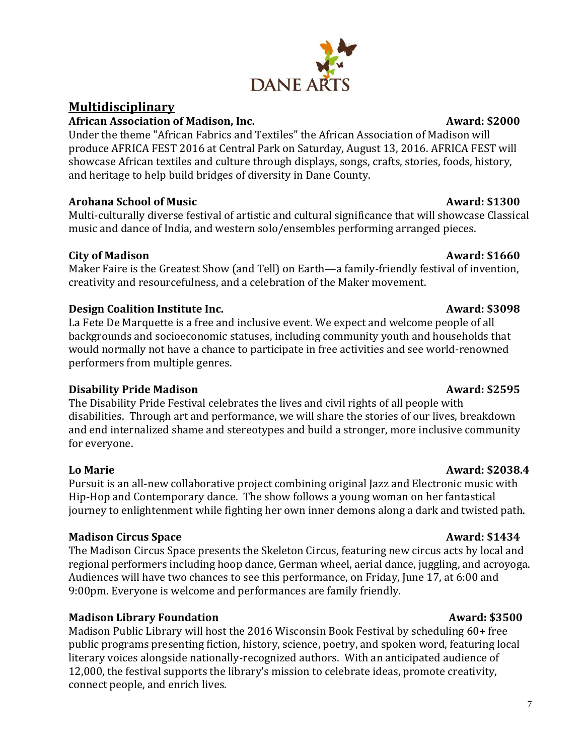# **Multidisciplinary**

# **African Association of Madison, Inc. Award: \$2000**

Under the theme "African Fabrics and Textiles" the African Association of Madison will produce AFRICA FEST 2016 at Central Park on Saturday, August 13, 2016. AFRICA FEST will showcase African textiles and culture through displays, songs, crafts, stories, foods, history, and heritage to help build bridges of diversity in Dane County.

# **Arohana School of Music Award: \$1300**

Multi-culturally diverse festival of artistic and cultural significance that will showcase Classical music and dance of India, and western solo/ensembles performing arranged pieces.

# **City of Madison Award: \$1660**

Maker Faire is the Greatest Show (and Tell) on Earth—a family-friendly festival of invention, creativity and resourcefulness, and a celebration of the Maker movement.

# **Design Coalition Institute Inc.** The contract of the contract of the Award: \$3098

La Fete De Marquette is a free and inclusive event. We expect and welcome people of all backgrounds and socioeconomic statuses, including community youth and households that would normally not have a chance to participate in free activities and see world-renowned performers from multiple genres.

# **Disability Pride Madison Award: \$2595**

The Disability Pride Festival celebrates the lives and civil rights of all people with disabilities. Through art and performance, we will share the stories of our lives, breakdown and end internalized shame and stereotypes and build a stronger, more inclusive community for everyone.

Pursuit is an all-new collaborative project combining original Jazz and Electronic music with Hip-Hop and Contemporary dance. The show follows a young woman on her fantastical journey to enlightenment while fighting her own inner demons along a dark and twisted path.

# **Madison Circus Space Award:**  $\frac{1}{3}$  Award: \$1434

The Madison Circus Space presents the Skeleton Circus, featuring new circus acts by local and regional performers including hoop dance, German wheel, aerial dance, juggling, and acroyoga. Audiences will have two chances to see this performance, on Friday, June 17, at 6:00 and 9:00pm. Everyone is welcome and performances are family friendly.

# **Madison Library Foundation Award: \$3500**

Madison Public Library will host the 2016 Wisconsin Book Festival by scheduling 60+ free public programs presenting fiction, history, science, poetry, and spoken word, featuring local literary voices alongside nationally-recognized authors. With an anticipated audience of 12,000, the festival supports the library's mission to celebrate ideas, promote creativity, connect people, and enrich lives.

# **Lo Marie Award: \$2038.4**

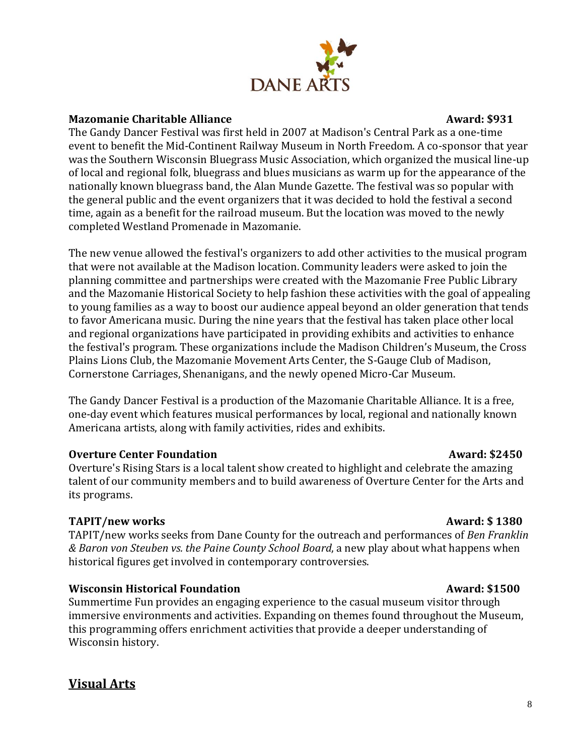

### **Mazomanie Charitable Alliance** and a series are a series and award: \$931

The Gandy Dancer Festival was first held in 2007 at Madison's Central Park as a one-time event to benefit the Mid-Continent Railway Museum in North Freedom. A co-sponsor that year was the Southern Wisconsin Bluegrass Music Association, which organized the musical line-up of local and regional folk, bluegrass and blues musicians as warm up for the appearance of the nationally known bluegrass band, the Alan Munde Gazette. The festival was so popular with the general public and the event organizers that it was decided to hold the festival a second time, again as a benefit for the railroad museum. But the location was moved to the newly completed Westland Promenade in Mazomanie.

The new venue allowed the festival's organizers to add other activities to the musical program that were not available at the Madison location. Community leaders were asked to join the planning committee and partnerships were created with the Mazomanie Free Public Library and the Mazomanie Historical Society to help fashion these activities with the goal of appealing to young families as a way to boost our audience appeal beyond an older generation that tends to favor Americana music. During the nine years that the festival has taken place other local and regional organizations have participated in providing exhibits and activities to enhance the festival's program. These organizations include the Madison Children's Museum, the Cross Plains Lions Club, the Mazomanie Movement Arts Center, the S-Gauge Club of Madison, Cornerstone Carriages, Shenanigans, and the newly opened Micro-Car Museum.

The Gandy Dancer Festival is a production of the Mazomanie Charitable Alliance. It is a free, one-day event which features musical performances by local, regional and nationally known Americana artists, along with family activities, rides and exhibits.

# **Overture Center Foundation Award: \$2450**

Overture's Rising Stars is a local talent show created to highlight and celebrate the amazing talent of our community members and to build awareness of Overture Center for the Arts and its programs.

# **TAPIT/new works and the set of the set of the set of the set of the set of the set of the set of the set of the set of the set of the set of the set of the set of the set of the set of the set of the set of the set of the**

TAPIT/new works seeks from Dane County for the outreach and performances of *Ben Franklin & Baron von Steuben vs. the Paine County School Board*, a new play about what happens when historical figures get involved in contemporary controversies.

### **Wisconsin Historical Foundation Award: \$1500**

Summertime Fun provides an engaging experience to the casual museum visitor through immersive environments and activities. Expanding on themes found throughout the Museum, this programming offers enrichment activities that provide a deeper understanding of Wisconsin history.

# **Visual Arts**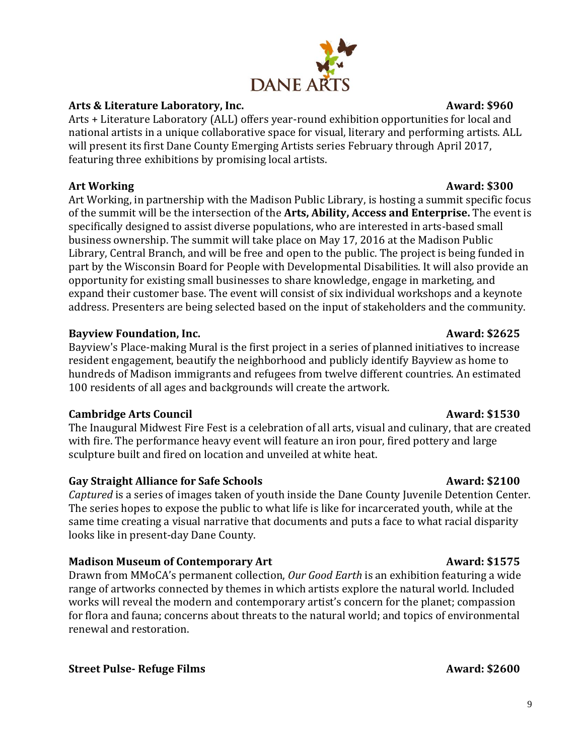## Arts & Literature Laboratory, Inc. **Axes Award: \$960**

Arts + Literature Laboratory (ALL) offers year-round exhibition opportunities for local and national artists in a unique collaborative space for visual, literary and performing artists. ALL will present its first Dane County Emerging Artists series February through April 2017, featuring three exhibitions by promising local artists.

## Art Working **Award: \$300**

Art Working, in partnership with the Madison Public Library, is hosting a summit specific focus of the summit will be the intersection of the **Arts, Ability, Access and Enterprise.** The event is specifically designed to assist diverse populations, who are interested in arts-based small business ownership. The summit will take place on May 17, 2016 at the Madison Public Library, Central Branch, and will be free and open to the public. The project is being funded in part by the Wisconsin Board for People with Developmental Disabilities. It will also provide an opportunity for existing small businesses to share knowledge, engage in marketing, and expand their customer base. The event will consist of six individual workshops and a keynote address. Presenters are being selected based on the input of stakeholders and the community.

## **Bayview Foundation, Inc. Award: \$2625**

Bayview's Place-making Mural is the first project in a series of planned initiatives to increase resident engagement, beautify the neighborhood and publicly identify Bayview as home to hundreds of Madison immigrants and refugees from twelve different countries. An estimated 100 residents of all ages and backgrounds will create the artwork.

# **Cambridge Arts Council Award: \$1530**

The Inaugural Midwest Fire Fest is a celebration of all arts, visual and culinary, that are created with fire. The performance heavy event will feature an iron pour, fired pottery and large sculpture built and fired on location and unveiled at white heat.

# Gay Straight Alliance for Safe Schools **Award:** \$2100

*Captured* is a series of images taken of youth inside the Dane County Juvenile Detention Center. The series hopes to expose the public to what life is like for incarcerated youth, while at the same time creating a visual narrative that documents and puts a face to what racial disparity looks like in present-day Dane County.

# **Madison Museum of Contemporary Art Award: \$1575**

Drawn from MMoCA's permanent collection, *Our Good Earth* is an exhibition featuring a wide range of artworks connected by themes in which artists explore the natural world. Included works will reveal the modern and contemporary artist's concern for the planet; compassion for flora and fauna; concerns about threats to the natural world; and topics of environmental renewal and restoration.

### **Street Pulse- Refuge Films Award: \$2600**

# **DANE ARTS**

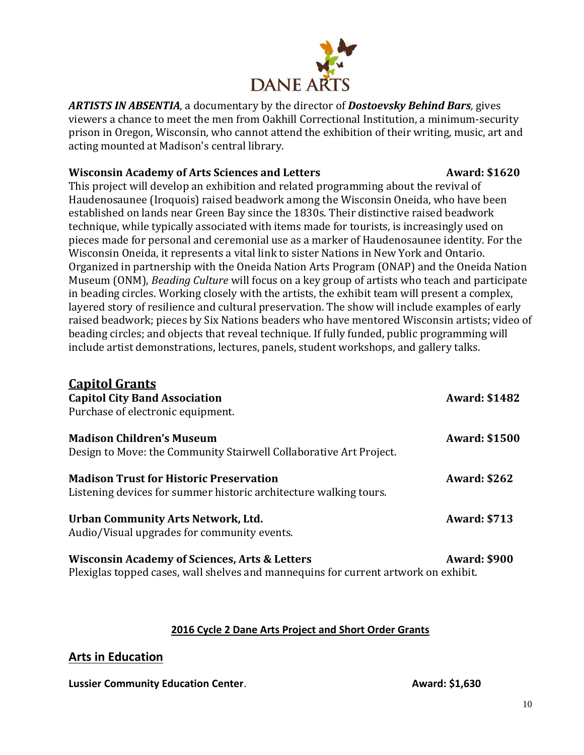

*ARTISTS IN ABSENTIA*, a documentary by the director of *Dostoevsky Behind Bars,* gives viewers a chance to meet the men from Oakhill Correctional Institution, a minimum-security prison in Oregon, Wisconsin, who cannot attend the exhibition of their writing, music, art and acting mounted at Madison's central library.

## **Wisconsin Academy of Arts Sciences and Letters <b>Award: \$1620**

This project will develop an exhibition and related programming about the revival of Haudenosaunee (Iroquois) raised beadwork among the Wisconsin Oneida, who have been established on lands near Green Bay since the 1830s. Their distinctive raised beadwork technique, while typically associated with items made for tourists, is increasingly used on pieces made for personal and ceremonial use as a marker of Haudenosaunee identity. For the Wisconsin Oneida, it represents a vital link to sister Nations in New York and Ontario. Organized in partnership with the Oneida Nation Arts Program (ONAP) and the Oneida Nation Museum (ONM), *Beading Culture* will focus on a key group of artists who teach and participate in beading circles. Working closely with the artists, the exhibit team will present a complex, layered story of resilience and cultural preservation. The show will include examples of early raised beadwork; pieces by Six Nations beaders who have mentored Wisconsin artists; video of beading circles; and objects that reveal technique. If fully funded, public programming will include artist demonstrations, lectures, panels, student workshops, and gallery talks.

| <b>Capitol Grants</b><br><b>Capitol City Band Association</b><br>Purchase of electronic equipment.                  | <b>Award: \$1482</b> |
|---------------------------------------------------------------------------------------------------------------------|----------------------|
| <b>Madison Children's Museum</b><br>Design to Move: the Community Stairwell Collaborative Art Project.              | <b>Award: \$1500</b> |
| <b>Madison Trust for Historic Preservation</b><br>Listening devices for summer historic architecture walking tours. | <b>Award: \$262</b>  |
| Urban Community Arts Network, Ltd.<br>Audio/Visual upgrades for community events.                                   | <b>Award: \$713</b>  |
| <b>Wisconsin Academy of Sciences, Arts &amp; Letters</b>                                                            | <b>Award: \$900</b>  |

Plexiglas topped cases, wall shelves and mannequins for current artwork on exhibit.

### **2016 Cycle 2 Dane Arts Project and Short Order Grants**

# **Arts in Education**

**Lussier Community Education Center. Award: \$1,630 Award: \$1,630**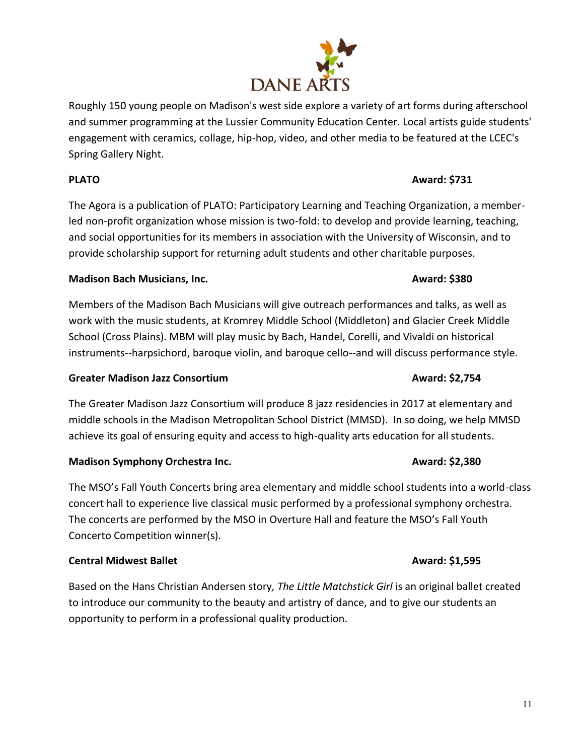Roughly 150 young people on Madison's west side explore a variety of art forms during afterschool and summer programming at the Lussier Community Education Center. Local artists guide students' engagement with ceramics, collage, hip-hop, video, and other media to be featured at the LCEC's Spring Gallery Night.

# **PLATO Award: \$731**

The Agora is a publication of PLATO: Participatory Learning and Teaching Organization, a memberled non-profit organization whose mission is two-fold: to develop and provide learning, teaching, and social opportunities for its members in association with the University of Wisconsin, and to provide scholarship support for returning adult students and other charitable purposes.

# **Madison Bach Musicians, Inc. Award: \$380**

Members of the Madison Bach Musicians will give outreach performances and talks, as well as work with the music students, at Kromrey Middle School (Middleton) and Glacier Creek Middle School (Cross Plains). MBM will play music by Bach, Handel, Corelli, and Vivaldi on historical instruments--harpsichord, baroque violin, and baroque cello--and will discuss performance style.

# **Greater Madison Jazz Consortium Award: \$2,754**

The Greater Madison Jazz Consortium will produce 8 jazz residencies in 2017 at elementary and middle schools in the Madison Metropolitan School District (MMSD). In so doing, we help MMSD achieve its goal of ensuring equity and access to high-quality arts education for all students.

# **Madison Symphony Orchestra Inc. Award: \$2,380**

The MSO's Fall Youth Concerts bring area elementary and middle school students into a world-class concert hall to experience live classical music performed by a professional symphony orchestra. The concerts are performed by the MSO in Overture Hall and feature the MSO's Fall Youth Concerto Competition winner(s).

# **Central Midwest Ballet Award: \$1,595**

Based on the Hans Christian Andersen story*, The Little Matchstick Girl* is an original ballet created to introduce our community to the beauty and artistry of dance, and to give our students an opportunity to perform in a professional quality production.

# **DANE ARTS**

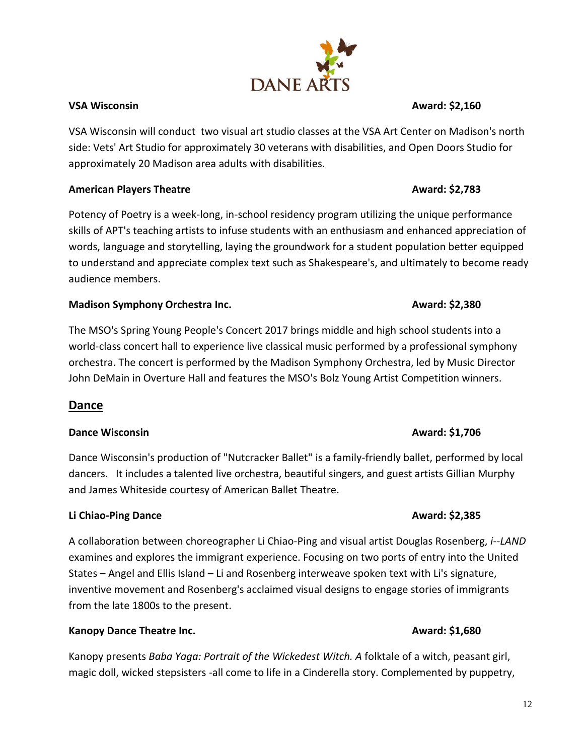VSA Wisconsin will conduct two visual art studio classes at the VSA Art Center on Madison's north side: Vets' Art Studio for approximately 30 veterans with disabilities, and Open Doors Studio for approximately 20 Madison area adults with disabilities.

# **American Players Theatre Award: \$2,783**

Potency of Poetry is a week-long, in-school residency program utilizing the unique performance skills of APT's teaching artists to infuse students with an enthusiasm and enhanced appreciation of words, language and storytelling, laying the groundwork for a student population better equipped to understand and appreciate complex text such as Shakespeare's, and ultimately to become ready audience members.

## **Madison Symphony Orchestra Inc. Award: \$2,380 Award: \$2,380**

The MSO's Spring Young People's Concert 2017 brings middle and high school students into a world-class concert hall to experience live classical music performed by a professional symphony orchestra. The concert is performed by the Madison Symphony Orchestra, led by Music Director John DeMain in Overture Hall and features the MSO's Bolz Young Artist Competition winners.

# **Dance**

### **Dance Wisconsin Award: \$1,706**

Dance Wisconsin's production of "Nutcracker Ballet" is a family-friendly ballet, performed by local dancers. It includes a talented live orchestra, beautiful singers, and guest artists Gillian Murphy and James Whiteside courtesy of American Ballet Theatre.

### **Li Chiao-Ping Dance Award: \$2,385**

A collaboration between choreographer Li Chiao-Ping and visual artist Douglas Rosenberg, *i--LAND*  examines and explores the immigrant experience. Focusing on two ports of entry into the United States – Angel and Ellis Island – Li and Rosenberg interweave spoken text with Li's signature, inventive movement and Rosenberg's acclaimed visual designs to engage stories of immigrants from the late 1800s to the present.

# **Kanopy Dance Theatre Inc. Award: \$1,680 Award: \$1,680**

Kanopy presents *Baba Yaga: Portrait of the Wickedest Witch. A* folktale of a witch, peasant girl, magic doll, wicked stepsisters -all come to life in a Cinderella story. Complemented by puppetry,

# **VSA Wisconsin Award: \$2,160**

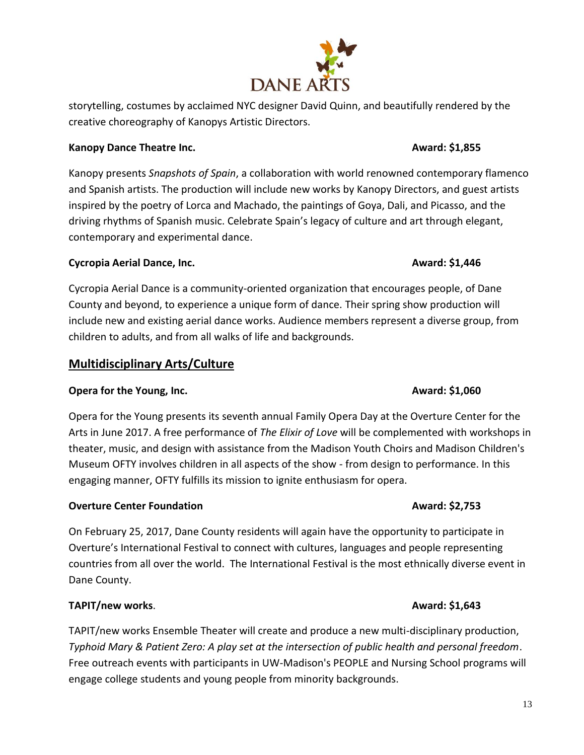storytelling, costumes by acclaimed NYC designer David Quinn, and beautifully rendered by the creative choreography of Kanopys Artistic Directors.

# **Kanopy Dance Theatre Inc. Award: \$1,855 Award: \$1,855 Award: \$1,855**

Kanopy presents *Snapshots of Spain*, a collaboration with world renowned contemporary flamenco and Spanish artists. The production will include new works by Kanopy Directors, and guest artists inspired by the poetry of Lorca and Machado, the paintings of Goya, Dali, and Picasso, and the driving rhythms of Spanish music. Celebrate Spain's legacy of culture and art through elegant, contemporary and experimental dance.

# **Cycropia Aerial Dance, Inc. Award: \$1,446 Award: \$1,446 Award: \$1,446**

Cycropia Aerial Dance is a community-oriented organization that encourages people, of Dane County and beyond, to experience a unique form of dance. Their spring show production will include new and existing aerial dance works. Audience members represent a diverse group, from children to adults, and from all walks of life and backgrounds.

# **Multidisciplinary Arts/Culture**

# **Opera for the Young, Inc. Award: \$1,060 Award: \$1,060**

Opera for the Young presents its seventh annual Family Opera Day at the Overture Center for the Arts in June 2017. A free performance of *The Elixir of Love* will be complemented with workshops in theater, music, and design with assistance from the Madison Youth Choirs and Madison Children's Museum OFTY involves children in all aspects of the show - from design to performance. In this engaging manner, OFTY fulfills its mission to ignite enthusiasm for opera.

# **Overture Center Foundation Award: \$2,753**

On February 25, 2017, Dane County residents will again have the opportunity to participate in Overture's International Festival to connect with cultures, languages and people representing countries from all over the world. The International Festival is the most ethnically diverse event in Dane County.

# **TAPIT/new works. Award: \$1,643**

TAPIT/new works Ensemble Theater will create and produce a new multi-disciplinary production, *Typhoid Mary & Patient Zero: A play set at the intersection of public health and personal freedom*. Free outreach events with participants in UW-Madison's PEOPLE and Nursing School programs will engage college students and young people from minority backgrounds.

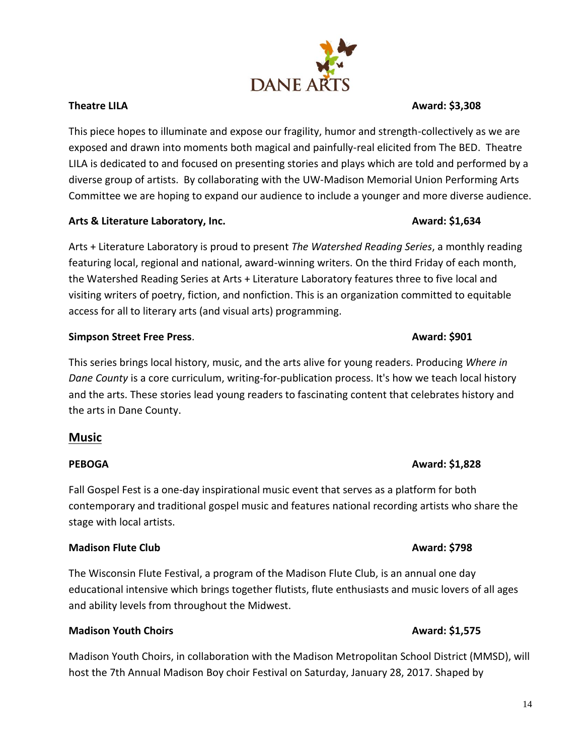This piece hopes to illuminate and expose our fragility, humor and strength-collectively as we are exposed and drawn into moments both magical and painfully-real elicited from The BED. Theatre LILA is dedicated to and focused on presenting stories and plays which are told and performed by a diverse group of artists. By collaborating with the UW-Madison Memorial Union Performing Arts Committee we are hoping to expand our audience to include a younger and more diverse audience.

### Arts & Literature Laboratory, Inc. **Alterature Laboratory, Inc. Award: \$1,634**

Arts + Literature Laboratory is proud to present *The Watershed Reading Series*, a monthly reading featuring local, regional and national, award-winning writers. On the third Friday of each month, the Watershed Reading Series at Arts + Literature Laboratory features three to five local and visiting writers of poetry, fiction, and nonfiction. This is an organization committed to equitable access for all to literary arts (and visual arts) programming.

### **Simpson Street Free Press. Award: \$901**

This series brings local history, music, and the arts alive for young readers. Producing *Where in Dane County* is a core curriculum, writing-for-publication process. It's how we teach local history and the arts. These stories lead young readers to fascinating content that celebrates history and the arts in Dane County.

### **Music**

### **PEBOGA Award: \$1,828**

Fall Gospel Fest is a one-day inspirational music event that serves as a platform for both contemporary and traditional gospel music and features national recording artists who share the stage with local artists.

### **Madison Flute Club Award: \$798**

The Wisconsin Flute Festival, a program of the Madison Flute Club, is an annual one day educational intensive which brings together flutists, flute enthusiasts and music lovers of all ages and ability levels from throughout the Midwest.

### **Madison Youth Choirs Award: \$1,575**

Madison Youth Choirs, in collaboration with the Madison Metropolitan School District (MMSD), will host the 7th Annual Madison Boy choir Festival on Saturday, January 28, 2017. Shaped by

# **Theatre LILA Award: \$3,308**

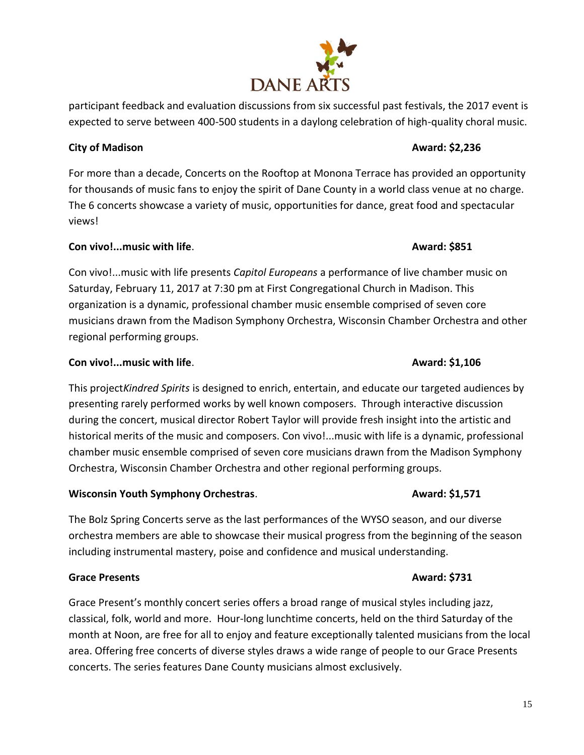# **City of Madison Award: \$2,236**

For more than a decade, Concerts on the Rooftop at Monona Terrace has provided an opportunity for thousands of music fans to enjoy the spirit of Dane County in a world class venue at no charge. The 6 concerts showcase a variety of music, opportunities for dance, great food and spectacular views!

# **Con vivo!...music with life. Award: \$851**

Con vivo!...music with life presents *Capitol Europeans* a performance of live chamber music on Saturday, February 11, 2017 at 7:30 pm at First Congregational Church in Madison. This organization is a dynamic, professional chamber music ensemble comprised of seven core musicians drawn from the Madison Symphony Orchestra, Wisconsin Chamber Orchestra and other regional performing groups.

# **Con vivo!...music with life. Award: \$1,106 Award: \$1,106**

This project*Kindred Spirits* is designed to enrich, entertain, and educate our targeted audiences by presenting rarely performed works by well known composers. Through interactive discussion during the concert, musical director Robert Taylor will provide fresh insight into the artistic and historical merits of the music and composers. Con vivo!...music with life is a dynamic, professional chamber music ensemble comprised of seven core musicians drawn from the Madison Symphony Orchestra, Wisconsin Chamber Orchestra and other regional performing groups.

# **Wisconsin Youth Symphony Orchestras. Award: \$1,571**

The Bolz Spring Concerts serve as the last performances of the WYSO season, and our diverse orchestra members are able to showcase their musical progress from the beginning of the season including instrumental mastery, poise and confidence and musical understanding.

# **Grace Presents Award: \$731**

Grace Present's monthly concert series offers a broad range of musical styles including jazz, classical, folk, world and more. Hour-long lunchtime concerts, held on the third Saturday of the month at Noon, are free for all to enjoy and feature exceptionally talented musicians from the local area. Offering free concerts of diverse styles draws a wide range of people to our Grace Presents concerts. The series features Dane County musicians almost exclusively.

# **DANE ARTS**

participant feedback and evaluation discussions from six successful past festivals, the 2017 event is expected to serve between 400-500 students in a daylong celebration of high-quality choral music.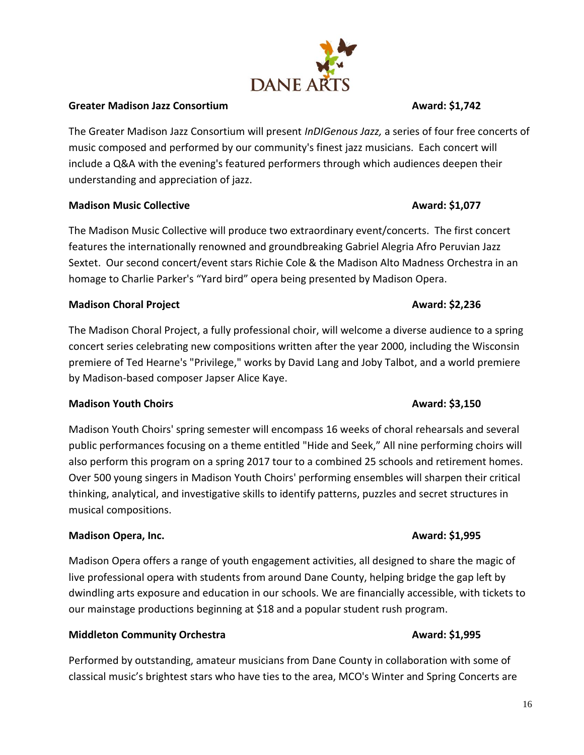### **Greater Madison Jazz Consortium Award: \$1,742 Award: \$1,742**

The Greater Madison Jazz Consortium will present *InDIGenous Jazz,* a series of four free concerts of music composed and performed by our community's finest jazz musicians. Each concert will include a Q&A with the evening's featured performers through which audiences deepen their understanding and appreciation of jazz.

### **Madison Music Collective Award: \$1,077**

The Madison Music Collective will produce two extraordinary event/concerts. The first concert features the internationally renowned and groundbreaking Gabriel Alegria Afro Peruvian Jazz Sextet. Our second concert/event stars Richie Cole & the Madison Alto Madness Orchestra in an homage to Charlie Parker's "Yard bird" opera being presented by Madison Opera.

### **Madison Choral Project Award: \$2,236**

The Madison Choral Project, a fully professional choir, will welcome a diverse audience to a spring concert series celebrating new compositions written after the year 2000, including the Wisconsin premiere of Ted Hearne's "Privilege," works by David Lang and Joby Talbot, and a world premiere by Madison-based composer Japser Alice Kaye.

### **Madison Youth Choirs Award: \$3,150**

Madison Youth Choirs' spring semester will encompass 16 weeks of choral rehearsals and several public performances focusing on a theme entitled "Hide and Seek," All nine performing choirs will also perform this program on a spring 2017 tour to a combined 25 schools and retirement homes. Over 500 young singers in Madison Youth Choirs' performing ensembles will sharpen their critical thinking, analytical, and investigative skills to identify patterns, puzzles and secret structures in musical compositions.

# **Madison Opera, Inc. Award: \$1,995 Award: \$1,995**

Madison Opera offers a range of youth engagement activities, all designed to share the magic of live professional opera with students from around Dane County, helping bridge the gap left by dwindling arts exposure and education in our schools. We are financially accessible, with tickets to our mainstage productions beginning at \$18 and a popular student rush program.

# **Middleton Community Orchestra Award: \$1,995 Award: \$1,995**

Performed by outstanding, amateur musicians from Dane County in collaboration with some of classical music's brightest stars who have ties to the area, MCO's Winter and Spring Concerts are

# **DANE AR**

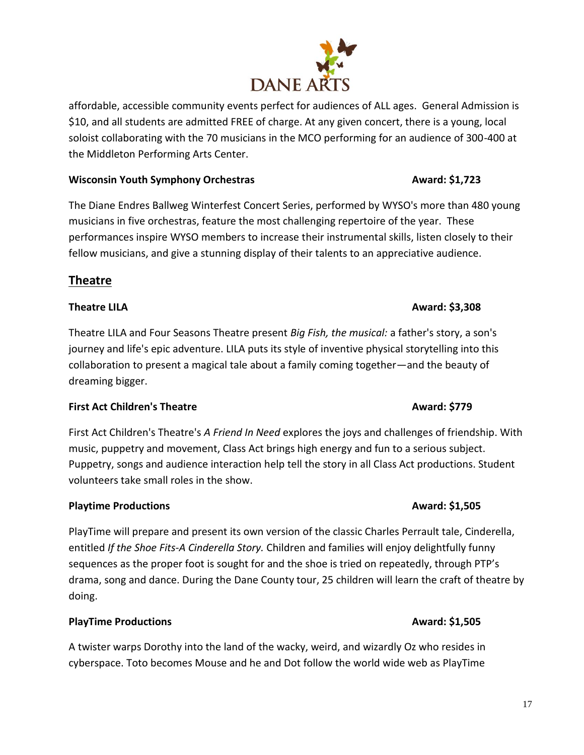affordable, accessible community events perfect for audiences of ALL ages. General Admission is \$10, and all students are admitted FREE of charge. At any given concert, there is a young, local soloist collaborating with the 70 musicians in the MCO performing for an audience of 300-400 at the Middleton Performing Arts Center.

### **Wisconsin Youth Symphony Orchestras Award: \$1,723**

The Diane Endres Ballweg Winterfest Concert Series, performed by WYSO's more than 480 young musicians in five orchestras, feature the most challenging repertoire of the year. These performances inspire WYSO members to increase their instrumental skills, listen closely to their fellow musicians, and give a stunning display of their talents to an appreciative audience.

# **Theatre**

Theatre LILA and Four Seasons Theatre present *Big Fish, the musical:* a father's story, a son's journey and life's epic adventure. LILA puts its style of inventive physical storytelling into this collaboration to present a magical tale about a family coming together—and the beauty of dreaming bigger.

# **First Act Children's Theatre**  Award: \$779

First Act Children's Theatre's *A Friend In Need* explores the joys and challenges of friendship. With music, puppetry and movement, Class Act brings high energy and fun to a serious subject. Puppetry, songs and audience interaction help tell the story in all Class Act productions. Student volunteers take small roles in the show.

# **Playtime Productions Award: \$1,505**

PlayTime will prepare and present its own version of the classic Charles Perrault tale, Cinderella, entitled *If the Shoe Fits-A Cinderella Story.* Children and families will enjoy delightfully funny sequences as the proper foot is sought for and the shoe is tried on repeatedly, through PTP's drama, song and dance. During the Dane County tour, 25 children will learn the craft of theatre by doing.

# **PlayTime Productions Award: \$1,505** PlayTime Productions

A twister warps Dorothy into the land of the wacky, weird, and wizardly Oz who resides in cyberspace. Toto becomes Mouse and he and Dot follow the world wide web as PlayTime

# **Theatre LILA Award: \$3,308**

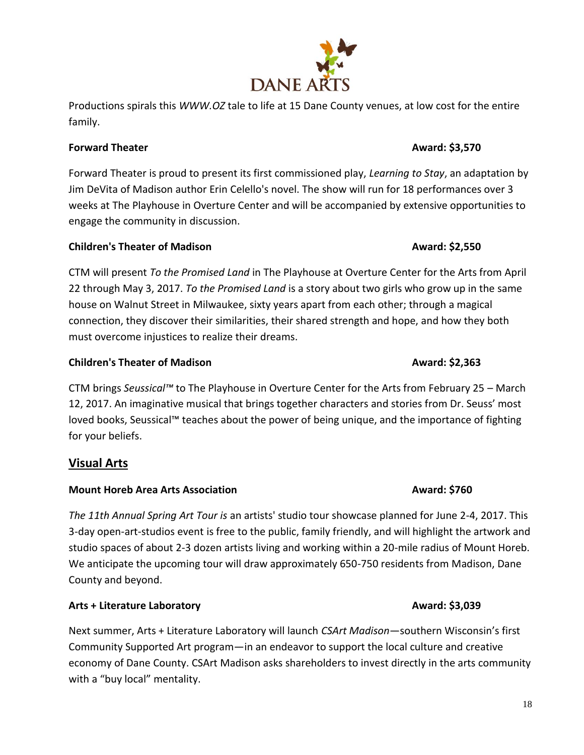# **Forward Theater Award: \$3,570**

Forward Theater is proud to present its first commissioned play, *Learning to Stay*, an adaptation by Jim DeVita of Madison author Erin Celello's novel. The show will run for 18 performances over 3 weeks at The Playhouse in Overture Center and will be accompanied by extensive opportunities to engage the community in discussion.

# **Children's Theater of Madison Award: \$2,550**

family.

CTM will present *To the Promised Land* in The Playhouse at Overture Center for the Arts from April 22 through May 3, 2017. *To the Promised Land* is a story about two girls who grow up in the same house on Walnut Street in Milwaukee, sixty years apart from each other; through a magical connection, they discover their similarities, their shared strength and hope, and how they both must overcome injustices to realize their dreams.

# **Children's Theater of Madison Award: \$2,363**

CTM brings *Seussical™* to The Playhouse in Overture Center for the Arts from February 25 – March 12, 2017. An imaginative musical that brings together characters and stories from Dr. Seuss' most loved books, Seussical™ teaches about the power of being unique, and the importance of fighting for your beliefs.

# **Visual Arts**

# **Mount Horeb Area Arts Association Award: \$760**

*The 11th Annual Spring Art Tour is* an artists' studio tour showcase planned for June 2-4, 2017. This 3-day open-art-studios event is free to the public, family friendly, and will highlight the artwork and studio spaces of about 2-3 dozen artists living and working within a 20-mile radius of Mount Horeb. We anticipate the upcoming tour will draw approximately 650-750 residents from Madison, Dane County and beyond.

# **Arts + Literature Laboratory Award: \$3,039**

Next summer, Arts + Literature Laboratory will launch *CSArt Madison*—southern Wisconsin's first Community Supported Art program—in an endeavor to support the local culture and creative economy of Dane County. CSArt Madison asks shareholders to invest directly in the arts community with a "buy local" mentality.

# **DANE ARTS**

Productions spirals this *WWW.OZ* tale to life at 15 Dane County venues, at low cost for the entire